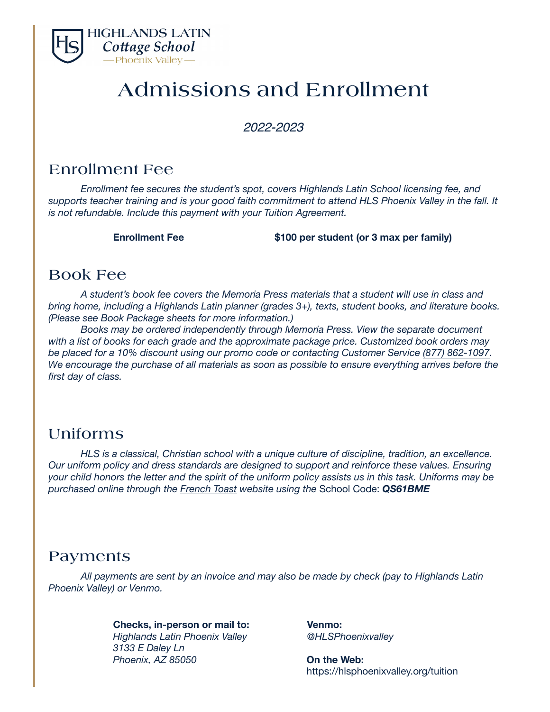

# Admissions and Enrollment

*202*2*-202*3

### Enrollment Fee

*Enrollment fee secures the student's spot, covers Highlands Latin School licensing fee, and supports teacher training and is your good faith commitment to attend HLS Phoenix Valley in the fall. It is not refundable. Include this payment with your Tuition Agreement.* 

**Enrollment Fee \$100 per student (or 3 max per family)**

### Book Fee

*A student's book fee covers the Memoria Press materials that a student will use in class and bring home, including a Highlands Latin planner (grades 3+), texts, student books, and literature books. (Please see Book Package sheets for more information.)* 

*Books may be ordered independently through Memoria Press. View the separate document with a list of books for each grade and the approximate package price. Customized book orders may be placed for a 10% discount using our promo code or contacting Customer Service [\(877\) 862-1097](tel:(877)%20862-1097). We encourage the purchase of all materials as soon as possible to ensure everything arrives before the first day of class.*

### Uniforms

*HLS is a classical, Christian school with a unique culture of discipline, tradition, an excellence. Our uniform policy and dress standards are designed to support and reinforce these values. Ensuring your child honors the letter and the spirit of the uniform policy assists us in this task. Uniforms may be purchased online through the [French Toast](https://www.frenchtoast.com/schoolbox/schools/highlands-latin-phoenix-valley-QS61BME) website using the* School Code: *QS61BME* 

#### Payments

*All payments are sent by an invoice and may also be made by check (pay to Highlands Latin Phoenix Valley) or Venmo.* 

#### **Checks, in-person or mail to: Venmo:**

*Highlands Latin Phoenix Valley @HLSPhoenixvalley 3133 E Daley Ln Phoenix, AZ 85050* **On the Web:**

https://hlsphoenixvalley.org/tuition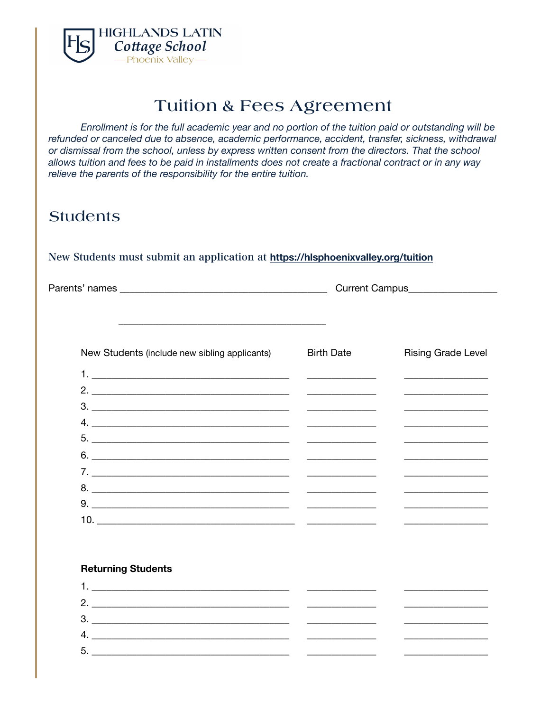

# Tuition & Fees Agreement

*Enrollment is for the full academic year and no portion of the tuition paid or outstanding will be refunded or canceled due to absence, academic performance, accident, transfer, sickness, withdrawal or dismissal from the school, unless by express written consent from the directors. That the school allows tuition and fees to be paid in installments does not create a fractional contract or in any way relieve the parents of the responsibility for the entire tuition.* 

### **Students**

#### New Students must submit an application at **<https://hlsphoenixvalley.org/tuition>**

Parents' names \_\_\_\_\_\_\_\_\_\_\_\_\_\_\_\_\_\_\_\_\_\_\_\_\_\_\_\_\_\_\_\_\_\_\_\_\_\_\_\_\_\_ Current Campus\_\_\_\_\_\_\_\_\_\_\_\_\_\_\_\_\_\_  $\frac{1}{2}$  ,  $\frac{1}{2}$  ,  $\frac{1}{2}$  ,  $\frac{1}{2}$  ,  $\frac{1}{2}$  ,  $\frac{1}{2}$  ,  $\frac{1}{2}$  ,  $\frac{1}{2}$  ,  $\frac{1}{2}$  ,  $\frac{1}{2}$  ,  $\frac{1}{2}$  ,  $\frac{1}{2}$  ,  $\frac{1}{2}$  ,  $\frac{1}{2}$  ,  $\frac{1}{2}$  ,  $\frac{1}{2}$  ,  $\frac{1}{2}$  ,  $\frac{1}{2}$  ,  $\frac{1$ New Students (include new sibling applicants) Birth Date **Rising Grade Level** 1. \_\_\_\_\_\_\_\_\_\_\_\_\_\_\_\_\_\_\_\_\_\_\_\_\_\_\_\_\_\_\_\_\_\_\_\_\_\_\_\_ \_\_\_\_\_\_\_\_\_\_\_\_\_\_ \_\_\_\_\_\_\_\_\_\_\_\_\_\_\_\_\_ 2. \_\_\_\_\_\_\_\_\_\_\_\_\_\_\_\_\_\_\_\_\_\_\_\_\_\_\_\_\_\_\_\_\_\_\_\_\_\_\_\_ \_\_\_\_\_\_\_\_\_\_\_\_\_\_ \_\_\_\_\_\_\_\_\_\_\_\_\_\_\_\_\_ 3. \_\_\_\_\_\_\_\_\_\_\_\_\_\_\_\_\_\_\_\_\_\_\_\_\_\_\_\_\_\_\_\_\_\_\_\_\_\_\_\_ \_\_\_\_\_\_\_\_\_\_\_\_\_\_ \_\_\_\_\_\_\_\_\_\_\_\_\_\_\_\_\_ 4. \_\_\_\_\_\_\_\_\_\_\_\_\_\_\_\_\_\_\_\_\_\_\_\_\_\_\_\_\_\_\_\_\_\_\_\_\_\_\_\_ \_\_\_\_\_\_\_\_\_\_\_\_\_\_ \_\_\_\_\_\_\_\_\_\_\_\_\_\_\_\_\_ 5. \_\_\_\_\_\_\_\_\_\_\_\_\_\_\_\_\_\_\_\_\_\_\_\_\_\_\_\_\_\_\_\_\_\_\_\_\_\_\_\_ \_\_\_\_\_\_\_\_\_\_\_\_\_\_ \_\_\_\_\_\_\_\_\_\_\_\_\_\_\_\_\_  $6.$ 7. \_\_\_\_\_\_\_\_\_\_\_\_\_\_\_\_\_\_\_\_\_\_\_\_\_\_\_\_\_\_\_\_\_\_\_\_\_\_\_\_ \_\_\_\_\_\_\_\_\_\_\_\_\_\_ \_\_\_\_\_\_\_\_\_\_\_\_\_\_\_\_\_ 8. \_\_\_\_\_\_\_\_\_\_\_\_\_\_\_\_\_\_\_\_\_\_\_\_\_\_\_\_\_\_\_\_\_\_\_\_\_\_\_\_ \_\_\_\_\_\_\_\_\_\_\_\_\_\_ \_\_\_\_\_\_\_\_\_\_\_\_\_\_\_\_\_ 9. \_\_\_\_\_\_\_\_\_\_\_\_\_\_\_\_\_\_\_\_\_\_\_\_\_\_\_\_\_\_\_\_\_\_\_\_\_\_\_\_ \_\_\_\_\_\_\_\_\_\_\_\_\_\_ \_\_\_\_\_\_\_\_\_\_\_\_\_\_\_\_\_ 10.  $\qquad \qquad \qquad \qquad$ 

#### **Returning Students**

| 2. |  |
|----|--|
| 3  |  |
|    |  |
| 5  |  |
|    |  |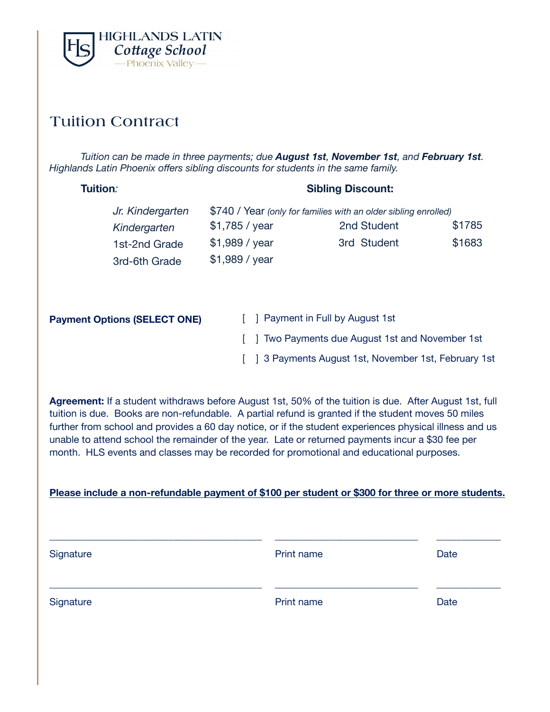

### Tuition Contract

*Tuition can be made in three payments; due August 1st, November 1st, and February 1st. Highlands Latin Phoenix offers sibling discounts for students in the same family.* 

| Tuition:         | <b>Sibling Discount:</b> |                                                                 |        |
|------------------|--------------------------|-----------------------------------------------------------------|--------|
| Jr. Kindergarten |                          | \$740 / Year (only for families with an older sibling enrolled) |        |
| Kindergarten     | \$1,785 / year           | 2nd Student                                                     | \$1785 |
| 1st-2nd Grade    | \$1,989 / year           | 3rd Student                                                     | \$1683 |
| 3rd-6th Grade    | \$1,989 / year           |                                                                 |        |
|                  |                          |                                                                 |        |

| <b>Payment Options (SELECT ONE)</b> | [ ] Payment in Full by August 1st                     |
|-------------------------------------|-------------------------------------------------------|
|                                     | [ ] Two Payments due August 1st and November 1st      |
|                                     | [ ] 3 Payments August 1st, November 1st, February 1st |

**Agreement:** If a student withdraws before August 1st, 50% of the tuition is due. After August 1st, full tuition is due. Books are non-refundable. A partial refund is granted if the student moves 50 miles further from school and provides a 60 day notice, or if the student experiences physical illness and us unable to attend school the remainder of the year. Late or returned payments incur a \$30 fee per month. HLS events and classes may be recorded for promotional and educational purposes.

#### **Please include a non-refundable payment of \$100 per student or \$300 for three or more students.**

| Signature | Print name | Date |
|-----------|------------|------|
| Signature | Print name | Date |